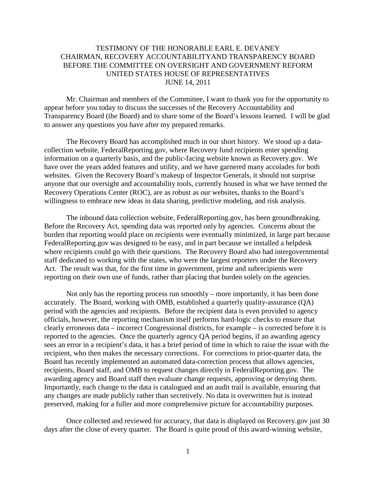## TESTIMONY OF THE HONORABLE EARL E. DEVANEY CHAIRMAN, RECOVERY ACCOUNTABILITYAND TRANSPARENCY BOARD BEFORE THE COMMITTEE ON OVERSIGHT AND GOVERNMENT REFORM UNITED STATES HOUSE OF REPRESENTATIVES JUNE 14, 2011

Mr. Chairman and members of the Committee, I want to thank you for the opportunity to appear before you today to discuss the successes of the Recovery Accountability and Transparency Board (the Board) and to share some of the Board's lessons learned. I will be glad to answer any questions you have after my prepared remarks.

The Recovery Board has accomplished much in our short history. We stood up a datacollection website, FederalReporting.gov, where Recovery fund recipients enter spending information on a quarterly basis, and the public-facing website known as Recovery.gov. We have over the years added features and utility, and we have garnered many accolades for both websites. Given the Recovery Board's makeup of Inspector Generals, it should not surprise anyone that our oversight and accountability tools, currently housed in what we have termed the Recovery Operations Center (ROC), are as robust as our websites, thanks to the Board's willingness to embrace new ideas in data sharing, predictive modeling, and risk analysis.

The inbound data collection website, FederalReporting.gov, has been groundbreaking. Before the Recovery Act, spending data was reported only by agencies. Concerns about the burden that reporting would place on recipients were eventually minimized, in large part because FederalReporting.gov was designed to be easy, and in part because we installed a helpdesk where recipients could go with their questions. The Recovery Board also had intergovernmental staff dedicated to working with the states, who were the largest reporters under the Recovery Act. The result was that, for the first time in government, prime and subrecipients were reporting on their own use of funds, rather than placing that burden solely on the agencies.

Not only has the reporting process run smoothly – more importantly, it has been done accurately. The Board, working with OMB, established a quarterly quality-assurance (QA) period with the agencies and recipients. Before the recipient data is even provided to agency officials, however, the reporting mechanism itself performs hard-logic checks to ensure that clearly erroneous data – incorrect Congressional districts, for example – is corrected before it is reported to the agencies. Once the quarterly agency QA period begins, if an awarding agency sees an error in a recipient's data, it has a brief period of time in which to raise the issue with the recipient, who then makes the necessary corrections. For corrections to prior-quarter data, the Board has recently implemented an automated data-correction process that allows agencies, recipients, Board staff, and OMB to request changes directly in FederalReporting.gov. The awarding agency and Board staff then evaluate change requests, approving or denying them. Importantly, each change to the data is catalogued and an audit trail is available, ensuring that any changes are made publicly rather than secretively. No data is overwritten but is instead preserved, making for a fuller and more comprehensive picture for accountability purposes.

Once collected and reviewed for accuracy, that data is displayed on Recovery.gov just 30 days after the close of every quarter. The Board is quite proud of this award-winning website,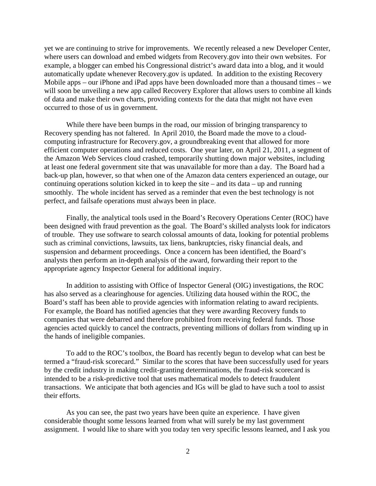yet we are continuing to strive for improvements. We recently released a new Developer Center, where users can download and embed widgets from Recovery.gov into their own websites. For example, a blogger can embed his Congressional district's award data into a blog, and it would automatically update whenever Recovery.gov is updated. In addition to the existing Recovery Mobile apps – our iPhone and iPad apps have been downloaded more than a thousand times – we will soon be unveiling a new app called Recovery Explorer that allows users to combine all kinds of data and make their own charts, providing contexts for the data that might not have even occurred to those of us in government.

While there have been bumps in the road, our mission of bringing transparency to Recovery spending has not faltered. In April 2010, the Board made the move to a cloudcomputing infrastructure for Recovery.gov, a groundbreaking event that allowed for more efficient computer operations and reduced costs. One year later, on April 21, 2011, a segment of the Amazon Web Services cloud crashed, temporarily shutting down major websites, including at least one federal government site that was unavailable for more than a day. The Board had a back-up plan, however, so that when one of the Amazon data centers experienced an outage, our continuing operations solution kicked in to keep the site – and its data – up and running smoothly. The whole incident has served as a reminder that even the best technology is not perfect, and failsafe operations must always been in place.

Finally, the analytical tools used in the Board's Recovery Operations Center (ROC) have been designed with fraud prevention as the goal. The Board's skilled analysts look for indicators of trouble. They use software to search colossal amounts of data, looking for potential problems such as criminal convictions, lawsuits, tax liens, bankruptcies, risky financial deals, and suspension and debarment proceedings. Once a concern has been identified, the Board's analysts then perform an in-depth analysis of the award, forwarding their report to the appropriate agency Inspector General for additional inquiry.

In addition to assisting with Office of Inspector General (OIG) investigations, the ROC has also served as a clearinghouse for agencies. Utilizing data housed within the ROC, the Board's staff has been able to provide agencies with information relating to award recipients. For example, the Board has notified agencies that they were awarding Recovery funds to companies that were debarred and therefore prohibited from receiving federal funds. Those agencies acted quickly to cancel the contracts, preventing millions of dollars from winding up in the hands of ineligible companies.

To add to the ROC's toolbox, the Board has recently begun to develop what can best be termed a "fraud-risk scorecard." Similar to the scores that have been successfully used for years by the credit industry in making credit-granting determinations, the fraud-risk scorecard is intended to be a risk-predictive tool that uses mathematical models to detect fraudulent transactions. We anticipate that both agencies and IGs will be glad to have such a tool to assist their efforts.

As you can see, the past two years have been quite an experience. I have given considerable thought some lessons learned from what will surely be my last government assignment. I would like to share with you today ten very specific lessons learned, and I ask you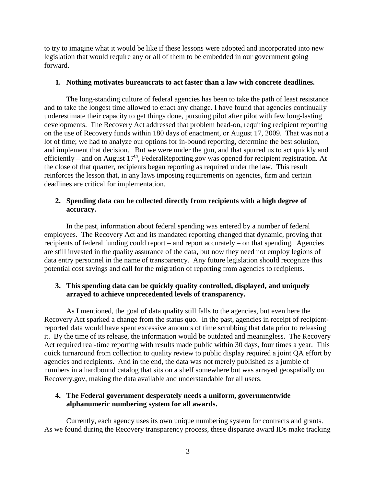to try to imagine what it would be like if these lessons were adopted and incorporated into new legislation that would require any or all of them to be embedded in our government going forward.

#### **1. Nothing motivates bureaucrats to act faster than a law with concrete deadlines.**

The long-standing culture of federal agencies has been to take the path of least resistance and to take the longest time allowed to enact any change. I have found that agencies continually underestimate their capacity to get things done, pursuing pilot after pilot with few long-lasting developments. The Recovery Act addressed that problem head-on, requiring recipient reporting on the use of Recovery funds within 180 days of enactment, or August 17, 2009. That was not a lot of time; we had to analyze our options for in-bound reporting, determine the best solution, and implement that decision. But we were under the gun, and that spurred us to act quickly and efficiently – and on August  $17<sup>th</sup>$ , FederalReporting.gov was opened for recipient registration. At the close of that quarter, recipients began reporting as required under the law. This result reinforces the lesson that, in any laws imposing requirements on agencies, firm and certain deadlines are critical for implementation.

## **2. Spending data can be collected directly from recipients with a high degree of accuracy.**

In the past, information about federal spending was entered by a number of federal employees. The Recovery Act and its mandated reporting changed that dynamic, proving that recipients of federal funding could report – and report accurately – on that spending. Agencies are still invested in the quality assurance of the data, but now they need not employ legions of data entry personnel in the name of transparency. Any future legislation should recognize this potential cost savings and call for the migration of reporting from agencies to recipients.

# **3. This spending data can be quickly quality controlled, displayed, and uniquely arrayed to achieve unprecedented levels of transparency.**

As I mentioned, the goal of data quality still falls to the agencies, but even here the Recovery Act sparked a change from the status quo. In the past, agencies in receipt of recipientreported data would have spent excessive amounts of time scrubbing that data prior to releasing it. By the time of its release, the information would be outdated and meaningless. The Recovery Act required real-time reporting with results made public within 30 days, four times a year. This quick turnaround from collection to quality review to public display required a joint QA effort by agencies and recipients. And in the end, the data was not merely published as a jumble of numbers in a hardbound catalog that sits on a shelf somewhere but was arrayed geospatially on Recovery.gov, making the data available and understandable for all users.

## **4. The Federal government desperately needs a uniform, governmentwide alphanumeric numbering system for all awards.**

Currently, each agency uses its own unique numbering system for contracts and grants. As we found during the Recovery transparency process, these disparate award IDs make tracking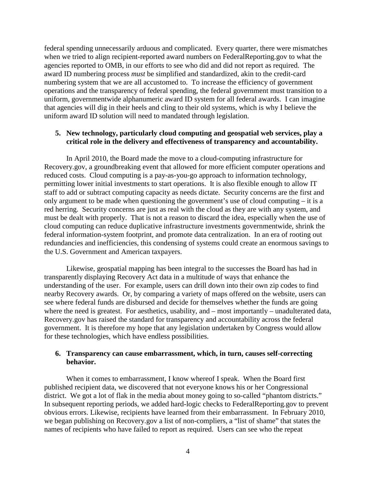federal spending unnecessarily arduous and complicated. Every quarter, there were mismatches when we tried to align recipient-reported award numbers on FederalReporting.gov to what the agencies reported to OMB, in our efforts to see who did and did not report as required. The award ID numbering process *must* be simplified and standardized, akin to the credit-card numbering system that we are all accustomed to. To increase the efficiency of government operations and the transparency of federal spending, the federal government must transition to a uniform, governmentwide alphanumeric award ID system for all federal awards. I can imagine that agencies will dig in their heels and cling to their old systems, which is why I believe the uniform award ID solution will need to mandated through legislation.

#### **5. New technology, particularly cloud computing and geospatial web services, play a critical role in the delivery and effectiveness of transparency and accountability.**

In April 2010, the Board made the move to a cloud-computing infrastructure for Recovery.gov, a groundbreaking event that allowed for more efficient computer operations and reduced costs. Cloud computing is a pay-as-you-go approach to information technology, permitting lower initial investments to start operations. It is also flexible enough to allow IT staff to add or subtract computing capacity as needs dictate. Security concerns are the first and only argument to be made when questioning the government's use of cloud computing – it is a red herring. Security concerns are just as real with the cloud as they are with any system, and must be dealt with properly. That is not a reason to discard the idea, especially when the use of cloud computing can reduce duplicative infrastructure investments governmentwide, shrink the federal information-system footprint, and promote data centralization. In an era of rooting out redundancies and inefficiencies, this condensing of systems could create an enormous savings to the U.S. Government and American taxpayers.

Likewise, geospatial mapping has been integral to the successes the Board has had in transparently displaying Recovery Act data in a multitude of ways that enhance the understanding of the user. For example, users can drill down into their own zip codes to find nearby Recovery awards. Or, by comparing a variety of maps offered on the website, users can see where federal funds are disbursed and decide for themselves whether the funds are going where the need is greatest. For aesthetics, usability, and – most importantly – unadulterated data, Recovery.gov has raised the standard for transparency and accountability across the federal government. It is therefore my hope that any legislation undertaken by Congress would allow for these technologies, which have endless possibilities.

#### **6. Transparency can cause embarrassment, which, in turn, causes self-correcting behavior.**

When it comes to embarrassment, I know whereof I speak. When the Board first published recipient data, we discovered that not everyone knows his or her Congressional district. We got a lot of flak in the media about money going to so-called "phantom districts." In subsequent reporting periods, we added hard-logic checks to FederalReporting.gov to prevent obvious errors. Likewise, recipients have learned from their embarrassment. In February 2010, we began publishing on Recovery.gov a list of non-compliers, a "list of shame" that states the names of recipients who have failed to report as required. Users can see who the repeat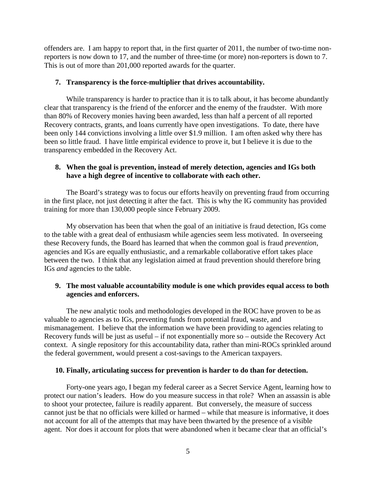offenders are. I am happy to report that, in the first quarter of 2011, the number of two-time nonreporters is now down to 17, and the number of three-time (or more) non-reporters is down to 7. This is out of more than 201,000 reported awards for the quarter.

### **7. Transparency is the force-multiplier that drives accountability.**

While transparency is harder to practice than it is to talk about, it has become abundantly clear that transparency is the friend of the enforcer and the enemy of the fraudster. With more than 80% of Recovery monies having been awarded, less than half a percent of all reported Recovery contracts, grants, and loans currently have open investigations. To date, there have been only 144 convictions involving a little over \$1.9 million. I am often asked why there has been so little fraud. I have little empirical evidence to prove it, but I believe it is due to the transparency embedded in the Recovery Act.

# **8. When the goal is prevention, instead of merely detection, agencies and IGs both have a high degree of incentive to collaborate with each other.**

The Board's strategy was to focus our efforts heavily on preventing fraud from occurring in the first place, not just detecting it after the fact. This is why the IG community has provided training for more than 130,000 people since February 2009.

My observation has been that when the goal of an initiative is fraud detection, IGs come to the table with a great deal of enthusiasm while agencies seem less motivated. In overseeing these Recovery funds, the Board has learned that when the common goal is fraud *prevention*, agencies and IGs are equally enthusiastic, and a remarkable collaborative effort takes place between the two. I think that any legislation aimed at fraud prevention should therefore bring IGs *and* agencies to the table.

# **9. The most valuable accountability module is one which provides equal access to both agencies and enforcers.**

The new analytic tools and methodologies developed in the ROC have proven to be as valuable to agencies as to IGs, preventing funds from potential fraud, waste, and mismanagement. I believe that the information we have been providing to agencies relating to Recovery funds will be just as useful – if not exponentially more so – outside the Recovery Act context. A single repository for this accountability data, rather than mini-ROCs sprinkled around the federal government, would present a cost-savings to the American taxpayers.

### **10. Finally, articulating success for prevention is harder to do than for detection.**

Forty-one years ago, I began my federal career as a Secret Service Agent, learning how to protect our nation's leaders. How do you measure success in that role? When an assassin is able to shoot your protectee, failure is readily apparent. But conversely, the measure of success cannot just be that no officials were killed or harmed – while that measure is informative, it does not account for all of the attempts that may have been thwarted by the presence of a visible agent. Nor does it account for plots that were abandoned when it became clear that an official's